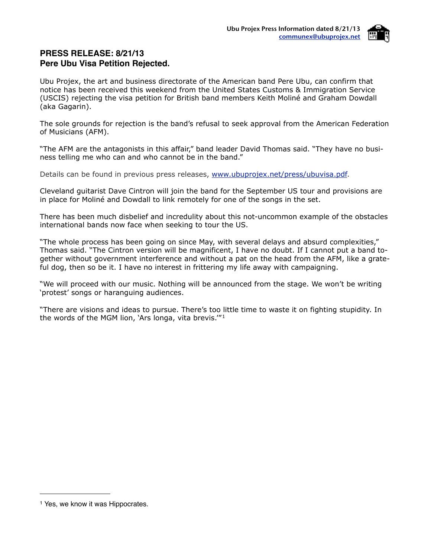

# **PRESS RELEASE: 8/21/13 Pere Ubu Visa Petition Rejected.**

Ubu Projex, the art and business directorate of the American band Pere Ubu, can confirm that notice has been received this weekend from the United States Customs & Immigration Service (USCIS) rejecting the visa petition for British band members Keith Moliné and Graham Dowdall (aka Gagarin).

The sole grounds for rejection is the band's refusal to seek approval from the American Federation of Musicians (AFM).

"The AFM are the antagonists in this affair," band leader David Thomas said. "They have no business telling me who can and who cannot be in the band."

Details can be found in previous press releases, [www.ubuprojex.net/press/ubuvisa.pdf](http://www.ubuprojex.net/press/ubuvisa.pdf).

Cleveland guitarist Dave Cintron will join the band for the September US tour and provisions are in place for Moliné and Dowdall to link remotely for one of the songs in the set.

There has been much disbelief and incredulity about this not-uncommon example of the obstacles international bands now face when seeking to tour the US.

"The whole process has been going on since May, with several delays and absurd complexities," Thomas said. "The Cintron version will be magnificent, I have no doubt. If I cannot put a band together without government interference and without a pat on the head from the AFM, like a grateful dog, then so be it. I have no interest in frittering my life away with campaigning.

"We will proceed with our music. Nothing will be announced from the stage. We won't be writing 'protest' songs or haranguing audiences.

"There are visions and ideas to pursue. There's too little time to waste it on fighting stupidity. In the words of the MGM lion, 'Ars longa, vita brevis.'"[1](#page-0-0)

<span id="page-0-0"></span><sup>&</sup>lt;sup>1</sup> Yes, we know it was Hippocrates.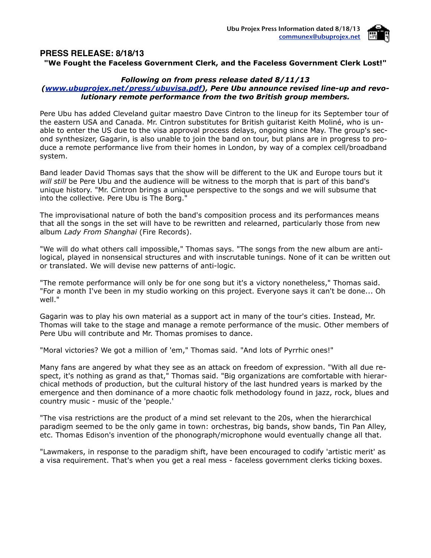

#### **PRESS RELEASE: 8/18/13 "We Fought the Faceless Government Clerk, and the Faceless Government Clerk Lost!"**

### *Following on from press release dated 8/11/13*

### *[\(www.ubuprojex.net/press/ubuvisa.pdf\)](http://www.ubuprojex.net/press/ubuvisa.pdf), Pere Ubu announce revised line-up and revolutionary remote performance from the two British group members.*

Pere Ubu has added Cleveland guitar maestro Dave Cintron to the lineup for its September tour of the eastern USA and Canada. Mr. Cintron substitutes for British guitarist Keith Moliné, who is unable to enter the US due to the visa approval process delays, ongoing since May. The group's second synthesizer, Gagarin, is also unable to join the band on tour, but plans are in progress to produce a remote performance live from their homes in London, by way of a complex cell/broadband system.

Band leader David Thomas says that the show will be different to the UK and Europe tours but it *will still* be Pere Ubu and the audience will be witness to the morph that is part of this band's unique history. "Mr. Cintron brings a unique perspective to the songs and we will subsume that into the collective. Pere Ubu is The Borg."

The improvisational nature of both the band's composition process and its performances means that all the songs in the set will have to be rewritten and relearned, particularly those from new album *Lady From Shanghai* (Fire Records).

"We will do what others call impossible," Thomas says. "The songs from the new album are antilogical, played in nonsensical structures and with inscrutable tunings. None of it can be written out or translated. We will devise new patterns of anti-logic.

"The remote performance will only be for one song but it's a victory nonetheless," Thomas said. "For a month I've been in my studio working on this project. Everyone says it can't be done... Oh well."

Gagarin was to play his own material as a support act in many of the tour's cities. Instead, Mr. Thomas will take to the stage and manage a remote performance of the music. Other members of Pere Ubu will contribute and Mr. Thomas promises to dance.

"Moral victories? We got a million of 'em," Thomas said. "And lots of Pyrrhic ones!"

Many fans are angered by what they see as an attack on freedom of expression. "With all due respect, it's nothing as grand as that," Thomas said. "Big organizations are comfortable with hierarchical methods of production, but the cultural history of the last hundred years is marked by the emergence and then dominance of a more chaotic folk methodology found in jazz, rock, blues and country music - music of the 'people.'

"The visa restrictions are the product of a mind set relevant to the 20s, when the hierarchical paradigm seemed to be the only game in town: orchestras, big bands, show bands, Tin Pan Alley, etc. Thomas Edison's invention of the phonograph/microphone would eventually change all that.

"Lawmakers, in response to the paradigm shift, have been encouraged to codify 'artistic merit' as a visa requirement. That's when you get a real mess - faceless government clerks ticking boxes.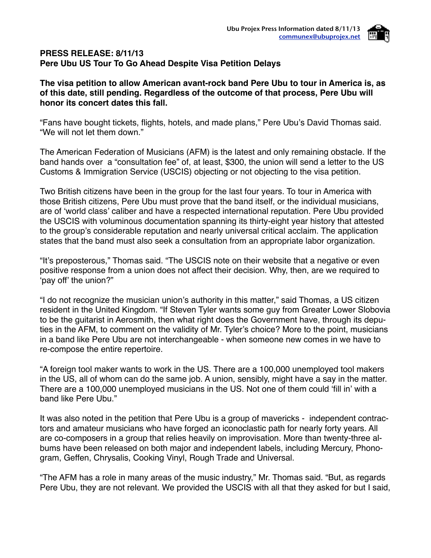

### **PRESS RELEASE: 8/11/13 Pere Ubu US Tour To Go Ahead Despite Visa Petition Delays**

# **The visa petition to allow American avant-rock band Pere Ubu to tour in America is, as of this date, still pending. Regardless of the outcome of that process, Pere Ubu will honor its concert dates this fall.**

"Fans have bought tickets, flights, hotels, and made plans," Pere Ubu's David Thomas said. "We will not let them down."

The American Federation of Musicians (AFM) is the latest and only remaining obstacle. If the band hands over a "consultation fee" of, at least, \$300, the union will send a letter to the US Customs & Immigration Service (USCIS) objecting or not objecting to the visa petition.

Two British citizens have been in the group for the last four years. To tour in America with those British citizens, Pere Ubu must prove that the band itself, or the individual musicians, are of ʻworld class' caliber and have a respected international reputation. Pere Ubu provided the USCIS with voluminous documentation spanning its thirty-eight year history that attested to the group's considerable reputation and nearly universal critical acclaim. The application states that the band must also seek a consultation from an appropriate labor organization.

"It's preposterous," Thomas said. "The USCIS note on their website that a negative or even positive response from a union does not affect their decision. Why, then, are we required to ʻpay off' the union?"

"I do not recognize the musician union's authority in this matter," said Thomas, a US citizen resident in the United Kingdom. "If Steven Tyler wants some guy from Greater Lower Slobovia to be the guitarist in Aerosmith, then what right does the Government have, through its deputies in the AFM, to comment on the validity of Mr. Tyler's choice? More to the point, musicians in a band like Pere Ubu are not interchangeable - when someone new comes in we have to re-compose the entire repertoire.

"A foreign tool maker wants to work in the US. There are a 100,000 unemployed tool makers in the US, all of whom can do the same job. A union, sensibly, might have a say in the matter. There are a 100,000 unemployed musicians in the US. Not one of them could ʻfill in' with a band like Pere Ubu."

It was also noted in the petition that Pere Ubu is a group of mavericks - independent contractors and amateur musicians who have forged an iconoclastic path for nearly forty years. All are co-composers in a group that relies heavily on improvisation. More than twenty-three albums have been released on both major and independent labels, including Mercury, Phonogram, Geffen, Chrysalis, Cooking Vinyl, Rough Trade and Universal.

"The AFM has a role in many areas of the music industry," Mr. Thomas said. "But, as regards Pere Ubu, they are not relevant. We provided the USCIS with all that they asked for but I said,